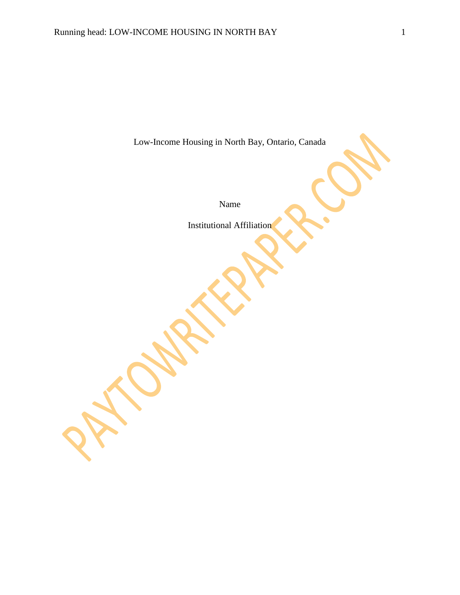Low-Income Housing in North Bay, Ontario, Canada

Name

Institutional Affiliation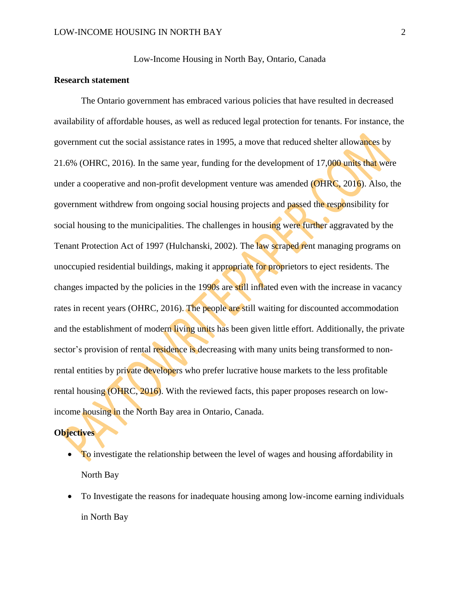Low-Income Housing in North Bay, Ontario, Canada

# **Research statement**

The Ontario government has embraced various policies that have resulted in decreased availability of affordable houses, as well as reduced legal protection for tenants. For instance, the government cut the social assistance rates in 1995, a move that reduced shelter allowances by 21.6% (OHRC, 2016). In the same year, funding for the development of 17,000 units that were under a cooperative and non-profit development venture was amended (OHRC, 2016). Also, the government withdrew from ongoing social housing projects and passed the responsibility for social housing to the municipalities. The challenges in housing were further aggravated by the Tenant Protection Act of 1997 (Hulchanski, 2002). The law scraped rent managing programs on unoccupied residential buildings, making it appropriate for proprietors to eject residents. The changes impacted by the policies in the 1990s are still inflated even with the increase in vacancy rates in recent years (OHRC, 2016). The people are still waiting for discounted accommodation and the establishment of modern living units has been given little effort. Additionally, the private sector's provision of rental residence is decreasing with many units being transformed to nonrental entities by private developers who prefer lucrative house markets to the less profitable rental housing (OHRC, 2016). With the reviewed facts, this paper proposes research on lowincome housing in the North Bay area in Ontario, Canada.

# **Objectives**

- To investigate the relationship between the level of wages and housing affordability in North Bay
- To Investigate the reasons for inadequate housing among low-income earning individuals in North Bay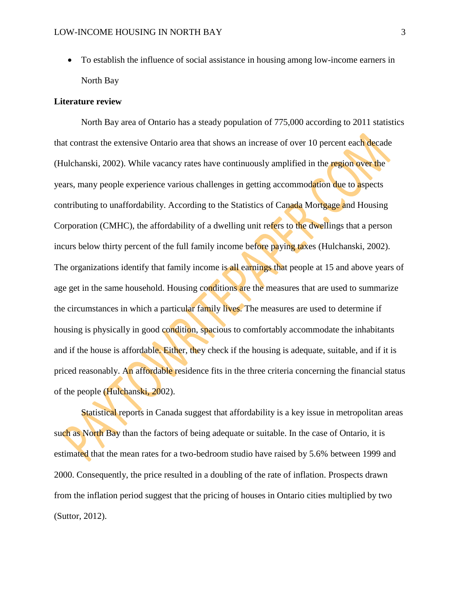To establish the influence of social assistance in housing among low-income earners in North Bay

#### **Literature review**

North Bay area of Ontario has a steady population of 775,000 according to 2011 statistics that contrast the extensive Ontario area that shows an increase of over 10 percent each decade (Hulchanski, 2002). While vacancy rates have continuously amplified in the region over the years, many people experience various challenges in getting accommodation due to aspects contributing to unaffordability. According to the Statistics of Canada Mortgage and Housing Corporation (CMHC), the affordability of a dwelling unit refers to the dwellings that a person incurs below thirty percent of the full family income before paying taxes (Hulchanski, 2002). The organizations identify that family income is all earnings that people at 15 and above years of age get in the same household. Housing conditions are the measures that are used to summarize the circumstances in which a particular family lives. The measures are used to determine if housing is physically in good condition, spacious to comfortably accommodate the inhabitants and if the house is affordable. Either, they check if the housing is adequate, suitable, and if it is priced reasonably. An affordable residence fits in the three criteria concerning the financial status of the people (Hulchanski, 2002).

Statistical reports in Canada suggest that affordability is a key issue in metropolitan areas such as North Bay than the factors of being adequate or suitable. In the case of Ontario, it is estimated that the mean rates for a two-bedroom studio have raised by 5.6% between 1999 and 2000. Consequently, the price resulted in a doubling of the rate of inflation. Prospects drawn from the inflation period suggest that the pricing of houses in Ontario cities multiplied by two (Suttor, 2012).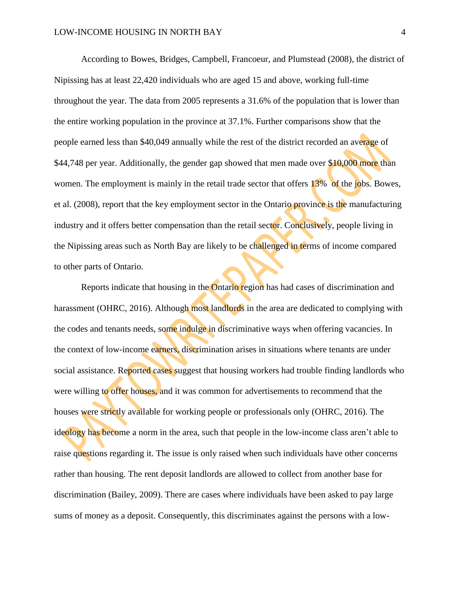According to Bowes, Bridges, Campbell, Francoeur, and Plumstead (2008), the district of Nipissing has at least 22,420 individuals who are aged 15 and above, working full-time throughout the year. The data from 2005 represents a 31.6% of the population that is lower than the entire working population in the province at 37.1%. Further comparisons show that the people earned less than \$40,049 annually while the rest of the district recorded an average of \$44,748 per year. Additionally, the gender gap showed that men made over \$10,000 more than women. The employment is mainly in the retail trade sector that offers 13% of the jobs. Bowes, et al. (2008), report that the key employment sector in the Ontario province is the manufacturing industry and it offers better compensation than the retail sector. Conclusively, people living in the Nipissing areas such as North Bay are likely to be challenged in terms of income compared to other parts of Ontario.

Reports indicate that housing in the Ontario region has had cases of discrimination and harassment (OHRC, 2016). Although most landlords in the area are dedicated to complying with the codes and tenants needs, some indulge in discriminative ways when offering vacancies. In the context of low-income earners, discrimination arises in situations where tenants are under social assistance. Reported cases suggest that housing workers had trouble finding landlords who were willing to offer houses, and it was common for advertisements to recommend that the houses were strictly available for working people or professionals only (OHRC, 2016). The ideology has become a norm in the area, such that people in the low-income class aren't able to raise questions regarding it. The issue is only raised when such individuals have other concerns rather than housing. The rent deposit landlords are allowed to collect from another base for discrimination (Bailey, 2009). There are cases where individuals have been asked to pay large sums of money as a deposit. Consequently, this discriminates against the persons with a low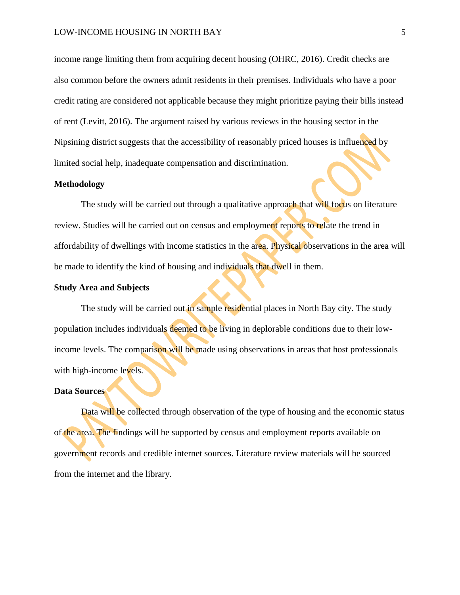income range limiting them from acquiring decent housing (OHRC, 2016). Credit checks are also common before the owners admit residents in their premises. Individuals who have a poor credit rating are considered not applicable because they might prioritize paying their bills instead of rent (Levitt, 2016). The argument raised by various reviews in the housing sector in the Nipsining district suggests that the accessibility of reasonably priced houses is influenced by limited social help, inadequate compensation and discrimination.

#### **Methodology**

The study will be carried out through a qualitative approach that will focus on literature review. Studies will be carried out on census and employment reports to relate the trend in affordability of dwellings with income statistics in the area. Physical observations in the area will be made to identify the kind of housing and individuals that dwell in them.

### **Study Area and Subjects**

The study will be carried out in sample residential places in North Bay city. The study population includes individuals deemed to be living in deplorable conditions due to their lowincome levels. The comparison will be made using observations in areas that host professionals with high-income levels.

#### **Data Sources**

Data will be collected through observation of the type of housing and the economic status of the area. The findings will be supported by census and employment reports available on government records and credible internet sources. Literature review materials will be sourced from the internet and the library.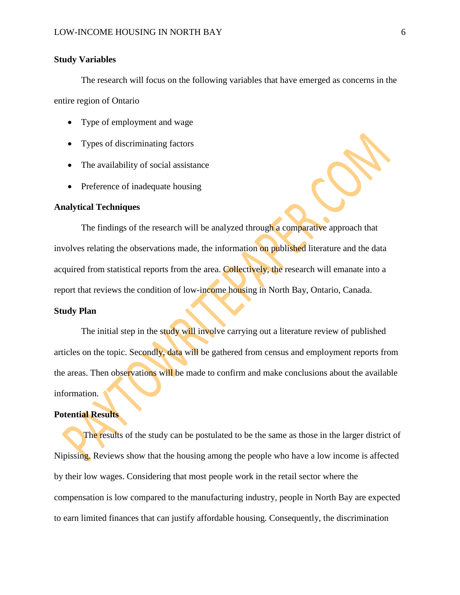### **Study Variables**

The research will focus on the following variables that have emerged as concerns in the entire region of Ontario

- Type of employment and wage
- Types of discriminating factors
- The availability of social assistance
- Preference of inadequate housing

# **Analytical Techniques**

The findings of the research will be analyzed through a comparative approach that involves relating the observations made, the information on published literature and the data acquired from statistical reports from the area. Collectively, the research will emanate into a report that reviews the condition of low-income housing in North Bay, Ontario, Canada.

# **Study Plan**

The initial step in the study will involve carrying out a literature review of published articles on the topic. Secondly, data will be gathered from census and employment reports from the areas. Then observations will be made to confirm and make conclusions about the available information.

#### **Potential Results**

The results of the study can be postulated to be the same as those in the larger district of Nipissing. Reviews show that the housing among the people who have a low income is affected by their low wages. Considering that most people work in the retail sector where the compensation is low compared to the manufacturing industry, people in North Bay are expected to earn limited finances that can justify affordable housing. Consequently, the discrimination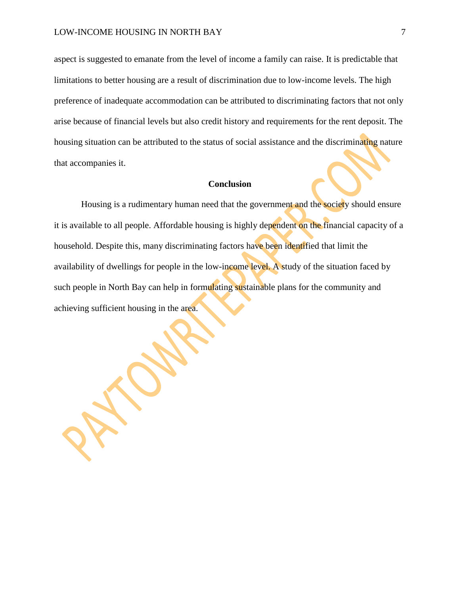aspect is suggested to emanate from the level of income a family can raise. It is predictable that limitations to better housing are a result of discrimination due to low-income levels. The high preference of inadequate accommodation can be attributed to discriminating factors that not only arise because of financial levels but also credit history and requirements for the rent deposit. The housing situation can be attributed to the status of social assistance and the discriminating nature that accompanies it.

## **Conclusion**

Housing is a rudimentary human need that the government and the society should ensure it is available to all people. Affordable housing is highly dependent on the financial capacity of a household. Despite this, many discriminating factors have been identified that limit the availability of dwellings for people in the low-income level. A study of the situation faced by such people in North Bay can help in formulating sustainable plans for the community and achieving sufficient housing in the area.